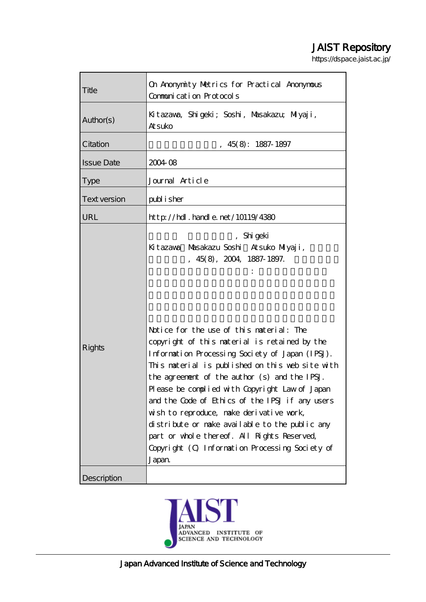# JAIST Repository

https://dspace.jaist.ac.jp/

| Title             | On Anonymity Metrics for Practical Anonymous<br>Communication Protocols                                                                                                                                                                                                                                                                                                                                                                                                                                                                                                                                                                                |  |  |  |  |
|-------------------|--------------------------------------------------------------------------------------------------------------------------------------------------------------------------------------------------------------------------------------------------------------------------------------------------------------------------------------------------------------------------------------------------------------------------------------------------------------------------------------------------------------------------------------------------------------------------------------------------------------------------------------------------------|--|--|--|--|
| Author(s)         | Kitazava, Shigeki; Soshi, Masakazu; Miyaji,<br>Atsuko                                                                                                                                                                                                                                                                                                                                                                                                                                                                                                                                                                                                  |  |  |  |  |
| Citation          | 45(8): 1887-1897                                                                                                                                                                                                                                                                                                                                                                                                                                                                                                                                                                                                                                       |  |  |  |  |
| <b>Issue Date</b> | 2004 08                                                                                                                                                                                                                                                                                                                                                                                                                                                                                                                                                                                                                                                |  |  |  |  |
| <b>Type</b>       | Journal Article                                                                                                                                                                                                                                                                                                                                                                                                                                                                                                                                                                                                                                        |  |  |  |  |
| Text version      | publisher                                                                                                                                                                                                                                                                                                                                                                                                                                                                                                                                                                                                                                              |  |  |  |  |
| URL               | http://hdl.handle.net/10119/4380                                                                                                                                                                                                                                                                                                                                                                                                                                                                                                                                                                                                                       |  |  |  |  |
| <b>Rights</b>     | , Shi geki<br>Kitazawa Musakazu Soshi Atsuko Miyaji,<br>$, 45(8), 2004, 1887-1897.$<br>Notice for the use of this naterial: The<br>copyright of this material is retained by the<br>Information Processing Society of Japan (IPSJ).<br>This material is published on this web site with<br>the agreement of the author (s) and the IPSJ.<br>Please be complied with Copyright Law of Japan<br>and the Code of Ethics of the IPSJ if any users<br>wish to reproduce, make derivative work,<br>distribute or make available to the public any<br>part or whole thereof. All Rights Reserved,<br>Copyright (C) Information Processing Society of<br>Japan |  |  |  |  |
| Description       |                                                                                                                                                                                                                                                                                                                                                                                                                                                                                                                                                                                                                                                        |  |  |  |  |

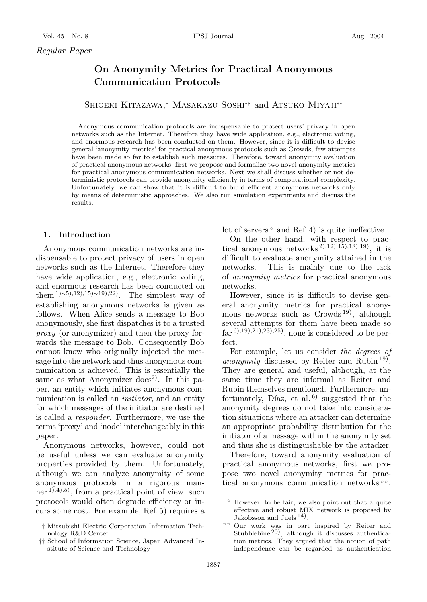## **On Anonymity Metrics for Practical Anonymous Communication Protocols**

SHIGEKI KITAZAWA,<sup>†</sup> MASAKAZU SOSHI<sup>††</sup> and ATSUKO MIYAJI<sup>††</sup>

Anonymous communication protocols are indispensable to protect users' privacy in open networks such as the Internet. Therefore they have wide application, e.g., electronic voting, and enormous research has been conducted on them. However, since it is difficult to devise general 'anonymity metrics' for practical anonymous protocols such as Crowds, few attempts have been made so far to establish such measures. Therefore, toward anonymity evaluation of practical anonymous networks, first we propose and formalize two novel anonymity metrics for practical anonymous communication networks. Next we shall discuss whether or not deterministic protocols can provide anonymity efficiently in terms of computational complexity. Unfortunately, we can show that it is difficult to build efficient anonymous networks only by means of deterministic approaches. We also run simulation experiments and discuss the results.

#### **1. Introduction**

Anonymous communication networks are indispensable to protect privacy of users in open networks such as the Internet. Therefore they have wide application, e.g., electronic voting, and enormous research has been conducted on them  $1)$ ∼5),12),15)∼19),22). The simplest way of establishing anonymous networks is given as follows. When Alice sends a message to Bob anonymously, she first dispatches it to a trusted *proxy* (or anonymizer) and then the proxy forwards the message to Bob. Consequently Bob cannot know who originally injected the message into the network and thus anonymous communication is achieved. This is essentially the same as what Anonymizer does<sup>2)</sup>. In this paper, an entity which initiates anonymous communication is called an *initiator*, and an entity for which messages of the initiator are destined is called a *responder*. Furthermore, we use the terms 'proxy' and 'node' interchangeably in this paper.

Anonymous networks, however, could not be useful unless we can evaluate anonymity properties provided by them. Unfortunately, although we can analyze anonymity of some anonymous protocols in a rigorous manner  $(1),4),5$ , from a practical point of view, such protocols would often degrade efficiency or incurs some cost. For example, Ref. 5) requires a lot of servers and Ref. 4) is quite ineffective.

On the other hand, with respect to practical anonymous networks  $^{2}$ ,  $^{12}$ ,  $^{15}$ ,  $^{18}$ ,  $^{19}$ ,  $^{11}$  it is difficult to evaluate anonymity attained in the networks. This is mainly due to the lack of *anonymity metrics* for practical anonymous networks.

However, since it is difficult to devise general anonymity metrics for practical anonymous networks such as Crowds<sup>19)</sup>, although several attempts for them have been made so  $far^{6}(0,19),21(0,23),25$ , none is considered to be perfect.

For example, let us consider *the degrees of anonymity* discussed by Reiter and Rubin 19). They are general and useful, although, at the same time they are informal as Reiter and Rubin themselves mentioned. Furthermore, unfortunately, Díaz, et al.  $^{6)}$  suggested that the anonymity degrees do not take into consideration situations where an attacker can determine an appropriate probability distribution for the initiator of a message within the anonymity set and thus she is distinguishable by the attacker.

Therefore, toward anonymity evaluation of practical anonymous networks, first we propose two novel anonymity metrics for practical anonymous communication networks

*<sup>†</sup>* Mitsubishi Electric Corporation Information Technology R&D Center

*<sup>††</sup>* School of Information Science, Japan Advanced Institute of Science and Technology

However, to be fair, we also point out that a quite effective and robust MIX network is proposed by Jakobsson and Juels<sup>14</sup>).

Our work was in part inspired by Reiter and Stubblebine 20), although it discusses authentication metrics. They argued that the notion of path independence can be regarded as authentication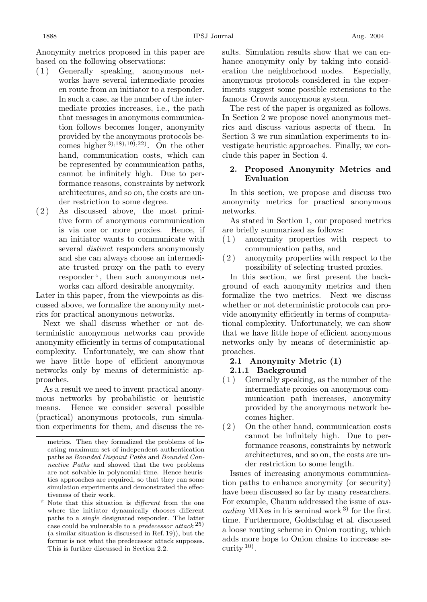Anonymity metrics proposed in this paper are based on the following observations:

- ( 1 ) Generally speaking, anonymous networks have several intermediate proxies en route from an initiator to a responder. In such a case, as the number of the intermediate proxies increases, i.e., the path that messages in anonymous communication follows becomes longer, anonymity provided by the anonymous protocols becomes higher  $^{3),18),19},^{22)}$ . On the other hand, communication costs, which can be represented by communication paths, cannot be infinitely high. Due to performance reasons, constraints by network architectures, and so on, the costs are under restriction to some degree.
- ( 2 ) As discussed above, the most primitive form of anonymous communication is via one or more proxies. Hence, if an initiator wants to communicate with several *distinct* responders anonymously and she can always choose an intermediate trusted proxy on the path to every responder , then such anonymous networks can afford desirable anonymity.

Later in this paper, from the viewpoints as discussed above, we formalize the anonymity metrics for practical anonymous networks.

Next we shall discuss whether or not deterministic anonymous networks can provide anonymity efficiently in terms of computational complexity. Unfortunately, we can show that we have little hope of efficient anonymous networks only by means of deterministic approaches.

As a result we need to invent practical anonymous networks by probabilistic or heuristic means. Hence we consider several possible (practical) anonymous protocols, run simulation experiments for them, and discuss the results. Simulation results show that we can enhance anonymity only by taking into consideration the neighborhood nodes. Especially, anonymous protocols considered in the experiments suggest some possible extensions to the famous Crowds anonymous system.

The rest of the paper is organized as follows. In Section 2 we propose novel anonymous metrics and discuss various aspects of them. In Section 3 we run simulation experiments to investigate heuristic approaches. Finally, we conclude this paper in Section 4.

## **2. Proposed Anonymity Metrics and Evaluation**

In this section, we propose and discuss two anonymity metrics for practical anonymous networks.

As stated in Section 1, our proposed metrics are briefly summarized as follows:

- ( 1 ) anonymity properties with respect to communication paths, and
- ( 2 ) anonymity properties with respect to the possibility of selecting trusted proxies.

In this section, we first present the background of each anonymity metrics and then formalize the two metrics. Next we discuss whether or not deterministic protocols can provide anonymity efficiently in terms of computational complexity. Unfortunately, we can show that we have little hope of efficient anonymous networks only by means of deterministic approaches.

### **2.1 Anonymity Metric (1) 2.1.1 Background**

- ( 1 ) Generally speaking, as the number of the intermediate proxies on anonymous communication path increases, anonymity provided by the anonymous network becomes higher.
- ( 2 ) On the other hand, communication costs cannot be infinitely high. Due to performance reasons, constraints by network architectures, and so on, the costs are under restriction to some length.

Issues of increasing anonymous communication paths to enhance anonymity (or security) have been discussed so far by many researchers. For example, Chaum addressed the issue of *cascading* MIXes in his seminal work<sup>3)</sup> for the first time. Furthermore, Goldschlag et al. discussed a loose routing scheme in Onion routing, which adds more hops to Onion chains to increase security  $10$ .

metrics. Then they formalized the problems of locating maximum set of independent authentication paths as Bounded Disjoint Paths and Bounded Connective Paths and showed that the two problems are not solvable in polynomial-time. Hence heuristics approaches are required, so that they ran some simulation experiments and demonstrated the effectiveness of their work.

Note that this situation is different from the one where the initiator dynamically chooses different paths to a single designated responder. The latter case could be vulnerable to a *predecessor* attack  $^{25}$ ) (a similar situation is discussed in Ref. 19)), but the former is not what the predecessor attack supposes. This is further discussed in Section 2.2.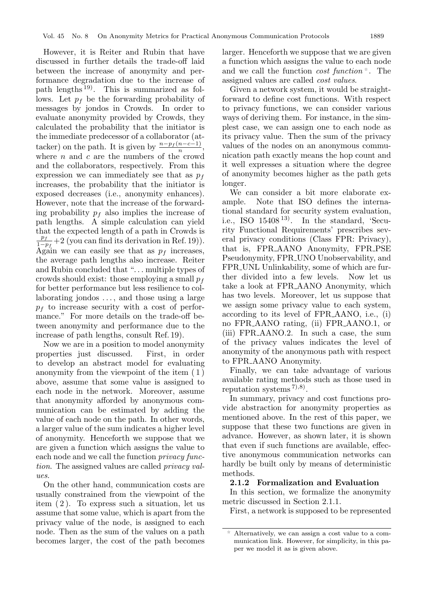larger. Henceforth we suppose that we are given a function which assigns the value to each node and we call the function *cost function* . The assigned values are called *cost values*. Given a network system, it would be straight-

forward to define cost functions. With respect to privacy functions, we can consider various ways of deriving them. For instance, in the simplest case, we can assign one to each node as its privacy value. Then the sum of the privacy values of the nodes on an anonymous communication path exactly means the hop count and it well expresses a situation where the degree of anonymity becomes higher as the path gets longer.

We can consider a bit more elaborate example. Note that ISO defines the international standard for security system evaluation, i.e., ISO  $15408^{13}$ . In the standard, 'Security Functional Requirements' prescribes several privacy conditions (Class FPR: Privacy), that is, FPR AANO Anonymity, FPR PSE Pseudonymity, FPR UNO Unobservability, and FPR UNL Unlinkability, some of which are further divided into a few levels. Now let us take a look at FPR AANO Anonymity, which has two levels. Moreover, let us suppose that we assign some privacy value to each system, according to its level of FPR AANO, i.e., (i) no FPR AANO rating, (ii) FPR AANO.1, or (iii) FPR AANO.2. In such a case, the sum of the privacy values indicates the level of anonymity of the anonymous path with respect to FPR AANO Anonymity.

Finally, we can take advantage of various available rating methods such as those used in reputation systems  $(7)$ , $(8)$ .

In summary, privacy and cost functions provide abstraction for anonymity properties as mentioned above. In the rest of this paper, we suppose that these two functions are given in advance. However, as shown later, it is shown that even if such functions are available, effective anonymous communication networks can hardly be built only by means of deterministic methods.

#### **2.1.2 Formalization and Evaluation**

In this section, we formalize the anonymity metric discussed in Section 2.1.1.

First, a network is supposed to be represented

discussed in further details the trade-off laid between the increase of anonymity and performance degradation due to the increase of path lengths  $(19)$ . This is summarized as follows. Let  $p_f$  be the forwarding probability of messages by jondos in Crowds. In order to evaluate anonymity provided by Crowds, they calculated the probability that the initiator is the immediate predecessor of a collaborator (attacker) on the path. It is given by  $\frac{n-p_f(n-c-1)}{n}$ , where  $n$  and  $c$  are the numbers of the crowd and the collaborators, respectively. From this expression we can immediately see that as  $p_f$ increases, the probability that the initiator is exposed decreases (i.e., anonymity enhances). However, note that the increase of the forwarding probability  $p_f$  also implies the increase of path lengths. A simple calculation can yield that the expected length of a path in Crowds is  $\frac{p_f}{1-p_f}$  +2 (you can find its derivation in Ref. 19)). Again we can easily see that as  $p_f$  increases, the average path lengths also increase. Reiter and Rubin concluded that "... multiple types of crowds should exist: those employing a small  $p_f$ for better performance but less resilience to collaborating jondos ..., and those using a large  $p_f$  to increase security with a cost of performance." For more details on the trade-off between anonymity and performance due to the increase of path lengths, consult Ref. 19).

However, it is Reiter and Rubin that have

Now we are in a position to model anonymity properties just discussed. First, in order to develop an abstract model for evaluating anonymity from the viewpoint of the item ( 1 ) above, assume that some value is assigned to each node in the network. Moreover, assume that anonymity afforded by anonymous communication can be estimated by adding the value of each node on the path. In other words, a larger value of the sum indicates a higher level of anonymity. Henceforth we suppose that we are given a function which assigns the value to each node and we call the function *privacy function*. The assigned values are called *privacy values*.

On the other hand, communication costs are usually constrained from the viewpoint of the item ( 2 ). To express such a situation, let us assume that some value, which is apart from the privacy value of the node, is assigned to each node. Then as the sum of the values on a path becomes larger, the cost of the path becomes

Alternatively, we can assign a cost value to a communication link. However, for simplicity, in this paper we model it as is given above.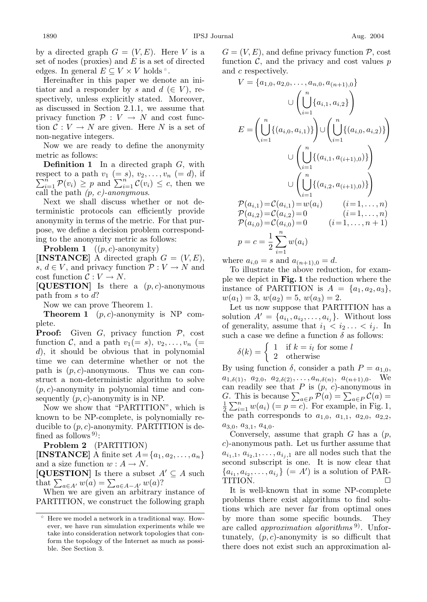by a directed graph  $G = (V, E)$ . Here V is a set of nodes (proxies) and  $E$  is a set of directed edges. In general  $E \subseteq V \times V$  holds.

Hereinafter in this paper we denote an initiator and a responder by s and  $d \in V$ , respectively, unless explicitly stated. Moreover, as discussed in Section 2.1.1, we assume that privacy function  $P : V \to N$  and cost function  $C: V \to N$  are given. Here N is a set of non-negative integers.

Now we are ready to define the anonymity metric as follows:

**Definition 1** In a directed graph G, with respect to a path respect to a path  $v_1 (= s)$ ,  $v_2, \ldots, v_n (= d)$ , if  $\sum_{i=1}^n \mathcal{P}(v_i) \geq p$  and  $\sum_{i=1}^n \mathcal{C}(v_i) \leq c$ , then we call the path *(*p*,* c*)-anonymous*.

Next we shall discuss whether or not deterministic protocols can efficiently provide anonymity in terms of the metric. For that purpose, we define a decision problem corresponding to the anonymity metric as follows:

**Problem 1**  $((p, c)$ -anonymity)

**[INSTANCE]** A directed graph  $G = (V, E)$ , s,  $d \in V$ , and privacy function  $P: V \to N$  and cost function  $C: V \to N$ .

**[QUESTION]** Is there a  $(p, c)$ -anonymous path from  $s$  to  $d$ ?

Now we can prove Theorem 1.

**Theorem 1**  $(p, c)$ -anonymity is NP complete.

Proof: Given G, privacy function P, cost function C, and a path  $v_1(= s)$ ,  $v_2, \ldots, v_n$  (= d), it should be obvious that in polynomial time we can determine whether or not the path is  $(p, c)$ -anonymous. Thus we can construct a non-deterministic algorithm to solve  $(p, c)$ -anonymity in polynomial time and consequently  $(p, c)$ -anonymity is in NP.

Now we show that "PARTITION", which is known to be NP-complete, is polynomially reducible to  $(p, c)$ -anonymity. PARTITION is defined as follows  $9$ :

**Problem 2** (PARTITION)

**[INSTANCE]** A finite set  $A = \{a_1, a_2, \ldots, a_n\}$ and a size function  $w : A \to N$ .

**[QUESTION]** Is there a subset  $A' \subseteq A$  such that  $\sum_{a \in A'} w(a) = \sum_{a \in A-A'} w(a)$ ?

When we are given an arbitrary instance of PARTITION, we construct the following graph

 $G = (V, E)$ , and define privacy function  $\mathcal{P}$ , cost function  $\mathcal{C}$ , and the privacy and cost values  $p$ and c respectively.

$$
V = \{a_{1,0}, a_{2,0}, \dots, a_{n,0}, a_{(n+1),0}\}\
$$

$$
\cup \left(\bigcup_{i=1}^{n} \{a_{i,1}, a_{i,2}\}\right)
$$

$$
E = \left(\bigcup_{i=1}^{n} \{(a_{i,0}, a_{i,1})\}\right) \cup \left(\bigcup_{i=1}^{n} \{(a_{i,0}, a_{i,2})\}\right)
$$

$$
\cup \left(\bigcup_{i=1}^{n} \{(a_{i,1}, a_{(i+1),0})\}\right)
$$

$$
\cup \left(\bigcup_{i=1}^{n} \{(a_{i,2}, a_{(i+1),0})\}\right)
$$

$$
\mathcal{P}(a_{i,1}) = \mathcal{C}(a_{i,1}) = w(a_i) \qquad (i = 1, \dots, n)
$$

$$
\mathcal{P}(a_{i,2}) = \mathcal{C}(a_{i,2}) = 0 \qquad (i = 1, \dots, n)
$$

$$
\mathcal{P}(a_{i,0}) = \mathcal{C}(a_{i,0}) = 0 \qquad (i = 1, \dots, n+1)
$$

$$
p = c = \frac{1}{2} \sum_{i=1}^{n} w(a_i)
$$

where  $a_{i,0} = s$  and  $a_{(n+1),0} = d$ .

To illustrate the above reduction, for example we depict in **Fig. 1** the reduction where the instance of PARTITION is  $A = \{a_1, a_2, a_3\},\$  $w(a_1) = 3, w(a_2) = 5, w(a_3) = 2.$ 

Let us now suppose that PARTITION has a solution  $A' = \{a_{i_1}, a_{i_2}, \ldots, a_{i_j}\}.$  Without loss of generality, assume that  $i_1 < i_2 \ldots < i_j$ . In such a case we define a function  $\delta$  as follows:

$$
\delta(k) = \begin{cases} 1 & \text{if } k = i_l \text{ for some } l \\ 2 & \text{otherwise} \end{cases}
$$

By using function  $\delta$ , consider a path  $P = a_{1,0}$ ,  $a_{1,\delta(1)}, a_{2,0}, a_{2,\delta(2)}, \ldots, a_{n,\delta(n)}, a_{(n+1),0}$ . We can readily see that  $P$  is  $(p, c)$ -anonymous in G. This is because  $\sum_{a \in P} \tilde{\mathcal{P}}(a) = \sum_{a \in P} \mathcal{C}(a) =$  $\frac{1}{2}\sum_{i=1}^{n}w(a_i)$  (= p = c). For example, in Fig. 1, the path corresponds to  $a_{1,0}$ ,  $a_{1,1}$ ,  $a_{2,0}$ ,  $a_{2,2}$ ,  $a_{3,0}, a_{3,1}, a_{4,0}.$ 

Conversely, assume that graph  $G$  has a  $(p,$ c)-anonymous path. Let us further assume that  $a_{i_1,1}, a_{i_2,1},\ldots,a_{i_j,1}$  are all nodes such that the second subscript is one. It is now clear that  ${a_{i_1}, a_{i_2}, \ldots, a_{i_j}} \ (= A')$  is a solution of PAR-TITION.

It is well-known that in some NP-complete problems there exist algorithms to find solutions which are never far from optimal ones by more than some specific bounds. They are called *approximation algorithms* <sup>9)</sup>. Unfortunately,  $(p, c)$ -anonymity is so difficult that there does not exist such an approximation al-

Here we model a network in a traditional way. However, we have run simulation experiments while we take into consideration network topologies that conform the topology of the Internet as much as possible. See Section 3.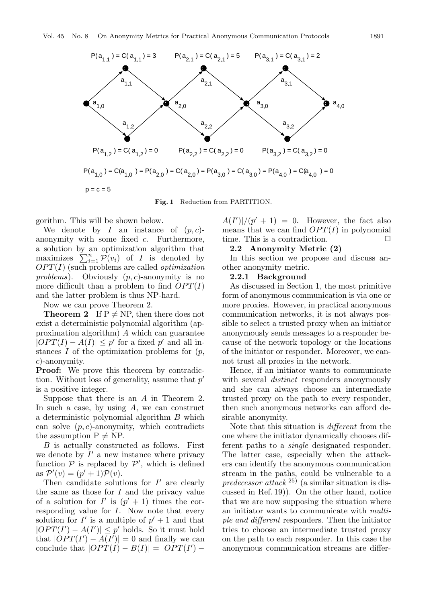

**Fig. 1** Reduction from PARTITION.

gorithm. This will be shown below.

We denote by I an instance of  $(p, c)$ anonymity with some fixed c. Furthermore, a solution by an optimization algorithm that maximizes  $\sum_{i=1}^{n} \mathcal{P}(v_i)$  of I is denoted by OPT(I) (such problems are called *optimization problems*). Obviously  $(p, c)$ -anonymity is no more difficult than a problem to find  $OPT(I)$ and the latter problem is thus NP-hard.

Now we can prove Theorem 2.

**Theorem 2** If  $P \neq NP$ , then there does not exist a deterministic polynomial algorithm (approximation algorithm) A which can guarantee  $|OPT(I) - A(I)| \leq p'$  for a fixed p' and all instances  $I$  of the optimization problems for  $(p,$ c)-anonymity.

**Proof:** We prove this theorem by contradiction. Without loss of generality, assume that  $p'$ is a positive integer.

Suppose that there is an A in Theorem 2. In such a case, by using  $A$ , we can construct a deterministic polynomial algorithm B which can solve  $(p, c)$ -anonymity, which contradicts the assumption  $P \neq NP$ .

B is actually constructed as follows. First we denote by  $I'$  a new instance where privacy function  $P$  is replaced by  $P'$ , which is defined as  $\mathcal{P}'(v) = (p' + 1)\mathcal{P}(v)$ .

Then candidate solutions for  $I'$  are clearly the same as those for  $I$  and the privacy value of a solution for  $I'$  is  $(p' + 1)$  times the corresponding value for  $I$ . Now note that every solution for I' is a multiple of  $p' + 1$  and that  $|OPT(I') - A(I')| \leq p'$  holds. So it must hold that  $|\hat{OPT}(I') - A(I')| = 0$  and finally we can conclude that  $|OPT(I) - B(I)| = |OPT(I') -$ 

 $A(I')|/(p'+1) = 0$ . However, the fact also means that we can find  $OPT(I)$  in polynomial time. This is a contradiction.  $\Box$ 

#### **2.2 Anonymity Metric (2)**

In this section we propose and discuss another anonymity metric.

#### **2.2.1 Background**

As discussed in Section 1, the most primitive form of anonymous communication is via one or more proxies. However, in practical anonymous communication networks, it is not always possible to select a trusted proxy when an initiator anonymously sends messages to a responder because of the network topology or the locations of the initiator or responder. Moreover, we cannot trust all proxies in the network.

Hence, if an initiator wants to communicate with several *distinct* responders anonymously and she can always choose an intermediate trusted proxy on the path to every responder, then such anonymous networks can afford desirable anonymity.

Note that this situation is *different* from the one where the initiator dynamically chooses different paths to a *single* designated responder. The latter case, especially when the attackers can identify the anonymous communication stream in the paths, could be vulnerable to a *predecessor attack* 25) (a similar situation is discussed in Ref. 19)). On the other hand, notice that we are now supposing the situation where an initiator wants to communicate with *multiple and different* responders. Then the initiator tries to choose an intermediate trusted proxy on the path to each responder. In this case the anonymous communication streams are differ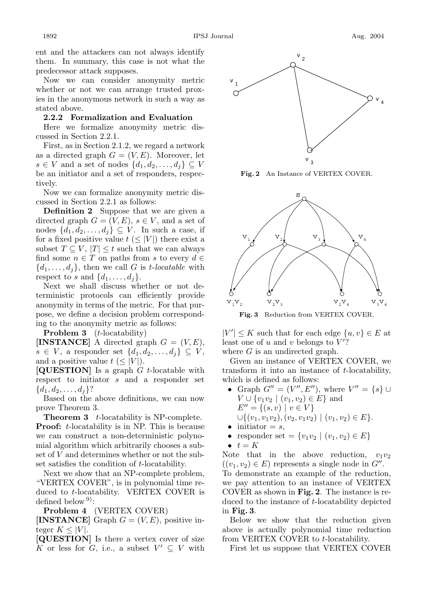ent and the attackers can not always identify them. In summary, this case is not what the predecessor attack supposes.

Now we can consider anonymity metric whether or not we can arrange trusted proxies in the anonymous network in such a way as stated above.

#### **2.2.2 Formalization and Evaluation**

Here we formalize anonymity metric discussed in Section 2.2.1.

First, as in Section 2.1.2, we regard a network as a directed graph  $G = (V, E)$ . Moreover, let  $s \in V$  and a set of nodes  $\{d_1, d_2, \ldots, d_i\} \subseteq V$ be an initiator and a set of responders, respectively.

Now we can formalize anonymity metric discussed in Section 2.2.1 as follows:

**Definition 2** Suppose that we are given a directed graph  $G = (V, E), s \in V$ , and a set of nodes  $\{d_1, d_2, \ldots, d_j\} \subseteq V$ . In such a case, if for a fixed positive value  $t \leq |V|$  there exist a subset  $T \subseteq V$ ,  $|T| \leq t$  such that we can always find some  $n \in T$  on paths from s to every  $d \in$  $\{d_1,\ldots,d_j\}$ , then we call G is *t*-locatable with respect to s and  $\{d_1, \ldots, d_j\}.$ 

Next we shall discuss whether or not deterministic protocols can efficiently provide anonymity in terms of the metric. For that purpose, we define a decision problem corresponding to the anonymity metric as follows:

**Problem 3** (*t*-locatability)

**[INSTANCE]** A directed graph  $G = (V, E)$ ,  $s \in V$ , a responder set  $\{d_1, d_2, \ldots, d_j\} \subseteq V$ , and a positive value  $t \leq |V|$ .

**[QUESTION]** Is a graph G t-locatable with respect to initiator s and a responder set  ${d_1, d_2, \ldots, d_i}$ ?

Based on the above definitions, we can now prove Theorem 3.

**Theorem 3** t-locatability is NP-complete. **Proof:** t-locatability is in NP. This is because we can construct a non-deterministic polynomial algorithm which arbitrarily chooses a subset of V and determines whether or not the subset satisfies the condition of t-locatability.

Next we show that an NP-complete problem, "VERTEX COVER", is in polynomial time reduced to t-locatability. VERTEX COVER is defined below  $9$ :

**Problem 4** (VERTEX COVER)

**[INSTANCE]** Graph  $G = (V, E)$ , positive integer  $K \leq |V|$ .

**[QUESTION]** Is there a vertex cover of size K or less for G, i.e., a subset  $V' \subseteq V$  with



**Fig. 2** An Instance of VERTEX COVER.



**Fig. 3** Reduction from VERTEX COVER.

 $|V'| \leq K$  such that for each edge  $\{u, v\} \in E$  at least one of u and v belongs to  $V'$ ? where  $G$  is an undirected graph.

Given an instance of VERTEX COVER, we transform it into an instance of  $t$ -locatability, which is defined as follows:

- Graph  $G'' = (V'', E'')$ , where  $V'' = \{s\} \cup$  $V \cup \{v_1v_2 \mid (v_1, v_2) \in E\}$  and  $E'' = \{(s, v) \mid v \in V\}$  $\cup \{(v_1, v_1v_2), (v_2, v_1v_2) \mid (v_1, v_2) \in E\}.$
- $\bullet$  initiator = s,
- responder set =  $\{v_1v_2 \mid (v_1, v_2) \in E\}$
- $\bullet$   $t = K$

Note that in the above reduction,  $v_1v_2$  $((v_1, v_2) \in E)$  represents a single node in  $G''$ .

To demonstrate an example of the reduction, we pay attention to an instance of VERTEX COVER as shown in **Fig. 2**. The instance is reduced to the instance of t-locatability depicted in **Fig. 3**.

Below we show that the reduction given above is actually polynomial time reduction from VERTEX COVER to t-locatability.

First let us suppose that VERTEX COVER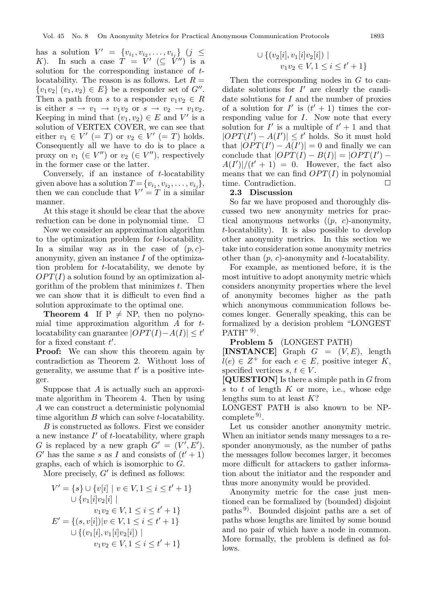has a solution  $V' = \{v_{i_1}, v_{i_2}, \ldots, v_{i_j}\}$  (j  $\leq$ K). In such a case  $T = V' (\subseteq V'')$  is a solution for the corresponding instance of  $t$ locatability. The reason is as follows. Let  $R =$  ${v_1v_2 \mid (v_1, v_2) \in E}$  be a responder set of  $G''$ . Then a path from s to a responder  $v_1v_2 \in R$ is either  $s \to v_1 \to v_1v_2$  or  $s \to v_2 \to v_1v_2$ . Keeping in mind that  $(v_1, v_2) \in E$  and V' is a solution of VERTEX COVER, we can see that either  $v_1 \in V' (= T)$  or  $v_2 \in V' (= T)$  holds. Consequently all we have to do is to place a proxy on  $v_1 \in V''$  or  $v_2 \in V''$ , respectively in the former case or the latter.

Conversely, if an instance of  $t$ -locatability given above has a solution  $T = \{v_{i_1}, v_{i_2}, \ldots, v_{i_i}\},\$ then we can conclude that  $V' = T$  in a similar manner.

At this stage it should be clear that the above reduction can be done in polynomial time.  $\Box$ 

Now we consider an approximation algorithm to the optimization problem for t-locatability. In a similar way as in the case of  $(p, c)$ anonymity, given an instance I of the optimization problem for t-locatability, we denote by  $OPT(I)$  a solution found by an optimization algorithm of the problem that minimizes  $t$ . Then we can show that it is difficult to even find a solution approximate to the optimal one.

**Theorem 4** If  $P \neq NP$ , then no polynomial time approximation algorithm  $\tilde{A}$  for  $t$ locatability can guarantee  $|\widetilde{OPT}(I)-A(I)| \leq t'$ for a fixed constant  $t'$ .

**Proof:** We can show this theorem again by contradiction as Theorem 2. Without loss of generality, we assume that  $t'$  is a positive integer.

Suppose that A is actually such an approximate algorithm in Theorem 4. Then by using A we can construct a deterministic polynomial time algorithm B which can solve t-locatability.

B is constructed as follows. First we consider a new instance  $I'$  of t-locatability, where graph G is replaced by a new graph  $G' = (V', E')$ . G' has the same s as I and consists of  $(t'+1)$ graphs, each of which is isomorphic to G.

More precisely,  $G'$  is defined as follows:

$$
V' = \{s\} \cup \{v[i] \mid v \in V, 1 \le i \le t' + 1\}
$$
  

$$
\cup \{v_1[i]v_2[i] \mid v_1v_2 \in V, 1 \le i \le t' + 1\}
$$
  

$$
E' = \{(s, v[i]) | v \in V, 1 \le i \le t' + 1\}
$$
  

$$
\cup \{(v_1[i], v_1[i]v_2[i]) \mid v_1v_2 \in V, 1 \le i \le t' + 1\}
$$

$$
\cup \{ (v_2[i], v_1[i]v_2[i]) \mid v_1v_2 \in V, 1 \le i \le t' + 1 \}
$$

Then the corresponding nodes in  $G$  to candidate solutions for  $I'$  are clearly the candidate solutions for  $I$  and the number of proxies of a solution for  $I'$  is  $(t'+1)$  times the corresponding value for I. Now note that every solution for  $I'$  is a multiple of  $t' + 1$  and that  $|OPT(I') - A(I')| \leq t'$  holds. So it must hold that  $|\hat{OPT}(I') - A(I')| = 0$  and finally we can conclude that  $|OPT(I) - B(I)| = |OPT(I') A(I')|/(t'+1) = 0$ . However, the fact also means that we can find  $OPT(I)$  in polynomial time. Contradiction.

#### **2.3 Discussion**

So far we have proposed and thoroughly discussed two new anonymity metrics for practical anonymous networks  $((p, c)$ -anonymity, t-locatability). It is also possible to develop other anonymity metrics. In this section we take into consideration some anonymity metrics other than  $(p, c)$ -anonymity and t-locatability.

For example, as mentioned before, it is the most intuitive to adopt anonymity metric which considers anonymity properties where the level of anonymity becomes higher as the path which anonymous communication follows becomes longer. Generally speaking, this can be formalized by a decision problem "LONGEST  $PATH"$ <sup>9)</sup>.

**Problem 5** (LONGEST PATH)

**[INSTANCE]** Graph  $G = (V, E)$ , length  $l(e) \in Z^+$  for each  $e \in E$ , positive integer K, specified vertices  $s, t \in V$ .

**[QUESTION]** Is there a simple path in G from s to  $t$  of length  $K$  or more, i.e., whose edge lengths sum to at least  $K$ ?

LONGEST PATH is also known to be NPcomplete  $9$ .

Let us consider another anonymity metric. When an initiator sends many messages to a responder anonymously, as the number of paths the messages follow becomes larger, it becomes more difficult for attackers to gather information about the initiator and the responder and thus more anonymity would be provided.

Anonymity metric for the case just mentioned can be formalized by (bounded) disjoint paths 9). Bounded disjoint paths are a set of paths whose lengths are limited by some bound and no pair of which have a node in common. More formally, the problem is defined as follows.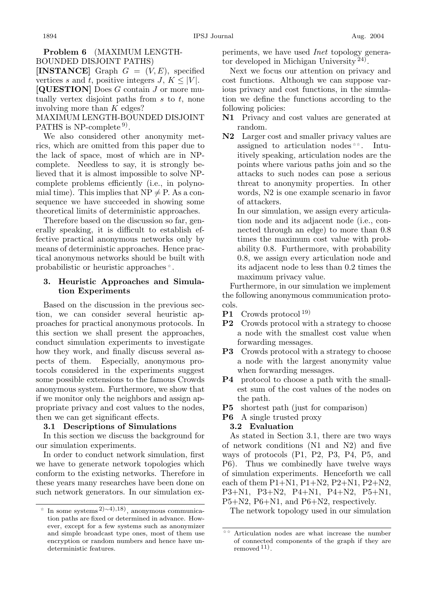## **Problem 6** (MAXIMUM LENGTH-BOUNDED DISJOINT PATHS)

**[INSTANCE]** Graph  $G = (V, E)$ , specified vertices s and t, positive integers  $J, K \leq |V|$ . **[QUESTION]** Does G contain J or more mutually vertex disjoint paths from  $s$  to  $t$ , none involving more than K edges?

MAXIMUM LENGTH-BOUNDED DISJOINT PATHS is  $NP$ -complete<sup>9)</sup>.

We also considered other anonymity metrics, which are omitted from this paper due to the lack of space, most of which are in NPcomplete. Needless to say, it is strongly believed that it is almost impossible to solve NPcomplete problems efficiently (i.e., in polynomial time). This implies that  $NP \neq P$ . As a consequence we have succeeded in showing some theoretical limits of deterministic approaches.

Therefore based on the discussion so far, generally speaking, it is difficult to establish effective practical anonymous networks only by means of deterministic approaches. Hence practical anonymous networks should be built with probabilistic or heuristic approaches .

## **3. Heuristic Approaches and Simulation Experiments**

Based on the discussion in the previous section, we can consider several heuristic approaches for practical anonymous protocols. In this section we shall present the approaches, conduct simulation experiments to investigate how they work, and finally discuss several aspects of them. Especially, anonymous protocols considered in the experiments suggest some possible extensions to the famous Crowds anonymous system. Furthermore, we show that if we monitor only the neighbors and assign appropriate privacy and cost values to the nodes, then we can get significant effects.

## **3.1 Descriptions of Simulations**

In this section we discuss the background for our simulation experiments.

In order to conduct network simulation, first we have to generate network topologies which conform to the existing networks. Therefore in these years many researches have been done on such network generators. In our simulation experiments, we have used *Inet* topology generator developed in Michigan University 24).

Next we focus our attention on privacy and cost functions. Although we can suppose various privacy and cost functions, in the simulation we define the functions according to the following policies:

- **N1** Privacy and cost values are generated at random.
- **N2** Larger cost and smaller privacy values are assigned to articulation nodes . Intuitively speaking, articulation nodes are the points where various paths join and so the attacks to such nodes can pose a serious threat to anonymity properties. In other words, N2 is one example scenario in favor of attackers.

In our simulation, we assign every articulation node and its adjacent node (i.e., connected through an edge) to more than 0.8 times the maximum cost value with probability 0.8. Furthermore, with probability 0.8, we assign every articulation node and its adjacent node to less than 0.2 times the maximum privacy value.

Furthermore, in our simulation we implement the following anonymous communication protocols.

- **P1** Crowds protocol 19)
- **P2** Crowds protocol with a strategy to choose a node with the smallest cost value when forwarding messages.
- **P3** Crowds protocol with a strategy to choose a node with the largest anonymity value when forwarding messages.
- **P4** protocol to choose a path with the smallest sum of the cost values of the nodes on the path.
- **P5** shortest path (just for comparison)
- **P6** A single trusted proxy

## **3.2 Evaluation**

As stated in Section 3.1, there are two ways of network conditions (N1 and N2) and five ways of protocols (P1, P2, P3, P4, P5, and P6). Thus we combinedly have twelve ways of simulation experiments. Henceforth we call each of them  $P1+N1$ ,  $P1+N2$ ,  $P2+N1$ ,  $P2+N2$ , P3+N1, P3+N2, P4+N1, P4+N2, P5+N1, P5+N2, P6+N1, and P6+N2, respectively.

The network topology used in our simulation

In some systems 2)∼4),18), anonymous communication paths are fixed or determined in advance. However, except for a few systems such as anonymizer and simple broadcast type ones, most of them use encryption or random numbers and hence have undeterministic features.

Articulation nodes are what increase the number of connected components of the graph if they are removed 11).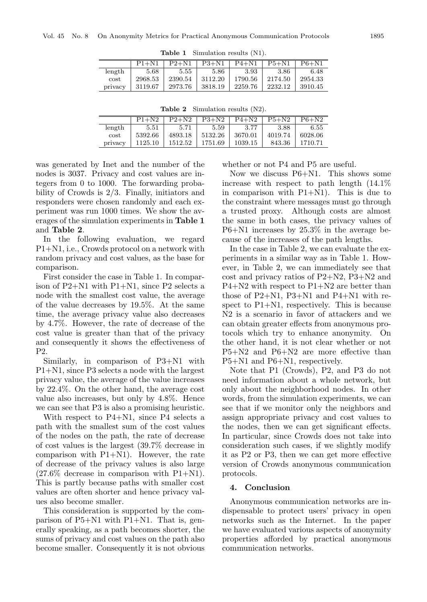|         | $P1 + N1$ | $P2+N1$ | $P3 + N1$ | $P4 + N1$ | $P5+N1$ | $P6+N1$ |
|---------|-----------|---------|-----------|-----------|---------|---------|
| length  | 5.68      | 5.55    | 5.86      | 3.93      | 3.86    | 6.48    |
| cost    | 2968.53   | 2390.54 | 3112.20   | 1790.56   | 2174.50 | 2954.33 |
| privacy | 3119.67   | 2973.76 | 3818.19   | 2259.76   | 2232.12 | 3910.45 |

**Table 1** Simulation results (N1).

| <b>Table 2</b> Simulation results $(N2)$ . |  |  |  |  |
|--------------------------------------------|--|--|--|--|
|                                            |  |  |  |  |

|         | $P1+N2$   | $P2+N2$ | $P3+N2$ | $P4+N2$ | $P5+N2$ | $P6 + N2$ |
|---------|-----------|---------|---------|---------|---------|-----------|
| length  | $_{5.51}$ | 5.71    | 5.59    | 3.77    | 3.88    | 6.55      |
| cost    | 5392.66   | 4893.18 | 5132.26 | 3670.01 | 4019.74 | 6028.06   |
| privacy | 1125.10   | 1512.52 | 1751.69 | 1039.15 | 843.36  | 1710.71   |

was generated by Inet and the number of the nodes is 3037. Privacy and cost values are integers from 0 to 1000. The forwarding probability of Crowds is 2/3. Finally, initiators and responders were chosen randomly and each experiment was run 1000 times. We show the averages of the simulation experiments in **Table 1** and **Table 2**.

In the following evaluation, we regard P1+N1, i.e., Crowds protocol on a network with random privacy and cost values, as the base for comparison.

First consider the case in Table 1. In comparison of P2+N1 with P1+N1, since P2 selects a node with the smallest cost value, the average of the value decreases by 19.5%. At the same time, the average privacy value also decreases by 4.7%. However, the rate of decrease of the cost value is greater than that of the privacy and consequently it shows the effectiveness of P2.

Similarly, in comparison of P3+N1 with P1+N1, since P3 selects a node with the largest privacy value, the average of the value increases by 22.4%. On the other hand, the average cost value also increases, but only by 4.8%. Hence we can see that P3 is also a promising heuristic.

With respect to P4+N1, since P4 selects a path with the smallest sum of the cost values of the nodes on the path, the rate of decrease of cost values is the largest (39.7% decrease in comparison with  $P1+N1$ ). However, the rate of decrease of the privacy values is also large  $(27.6\%$  decrease in comparison with P1+N1). This is partly because paths with smaller cost values are often shorter and hence privacy values also become smaller.

This consideration is supported by the comparison of P5+N1 with P1+N1. That is, generally speaking, as a path becomes shorter, the sums of privacy and cost values on the path also become smaller. Consequently it is not obvious whether or not P4 and P5 are useful.

Now we discuss P6+N1. This shows some increase with respect to path length (14.1% in comparison with P1+N1). This is due to the constraint where messages must go through a trusted proxy. Although costs are almost the same in both cases, the privacy values of P6+N1 increases by 25.3% in the average because of the increases of the path lengths.

In the case in Table 2, we can evaluate the experiments in a similar way as in Table 1. However, in Table 2, we can immediately see that cost and privacy ratios of P2+N2, P3+N2 and  $P4+N2$  with respect to  $P1+N2$  are better than those of P2+N1, P3+N1 and P4+N1 with respect to P1+N1, respectively. This is because N2 is a scenario in favor of attackers and we can obtain greater effects from anonymous protocols which try to enhance anonymity. On the other hand, it is not clear whether or not P5+N2 and P6+N2 are more effective than P5+N1 and P6+N1, respectively.

Note that P1 (Crowds), P2, and P3 do not need information about a whole network, but only about the neighborhood nodes. In other words, from the simulation experiments, we can see that if we monitor only the neighbors and assign appropriate privacy and cost values to the nodes, then we can get significant effects. In particular, since Crowds does not take into consideration such cases, if we slightly modify it as P2 or P3, then we can get more effective version of Crowds anonymous communication protocols.

#### **4. Conclusion**

Anonymous communication networks are indispensable to protect users' privacy in open networks such as the Internet. In the paper we have evaluated various aspects of anonymity properties afforded by practical anonymous communication networks.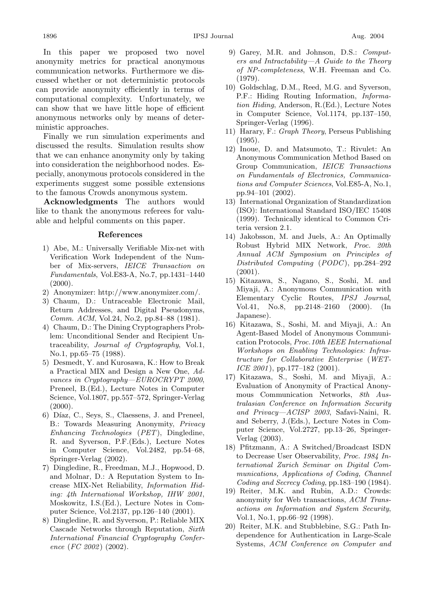In this paper we proposed two novel anonymity metrics for practical anonymous communication networks. Furthermore we discussed whether or not deterministic protocols can provide anonymity efficiently in terms of computational complexity. Unfortunately, we can show that we have little hope of efficient anonymous networks only by means of deterministic approaches.

Finally we run simulation experiments and discussed the results. Simulation results show that we can enhance anonymity only by taking into consideration the neighborhood nodes. Especially, anonymous protocols considered in the experiments suggest some possible extensions to the famous Crowds anonymous system.

**Acknowledgments** The authors would like to thank the anonymous referees for valuable and helpful comments on this paper.

#### **References**

- 1) Abe, M.: Universally Verifiable Mix-net with Verification Work Independent of the Number of Mix-servers, *IEICE Transaction on Fundamentals*, Vol.E83-A, No.7, pp.1431–1440  $(2000).$
- 2) Anonymizer: http://www.anonymizer.com/.
- 3) Chaum, D.: Untraceable Electronic Mail, Return Addresses, and Digital Pseudonyms, *Comm. ACM*, Vol.24, No.2, pp.84–88 (1981).
- 4) Chaum, D.: The Dining Cryptographers Problem: Unconditional Sender and Recipient Untraceability, *Journal of Cryptography*, Vol.1, No.1, pp.65–75 (1988).
- 5) Desmedt, Y. and Kurosawa, K.: How to Break a Practical MIX and Design a New One, *Advances in Cryptography—EUROCRYPT 2000*, Preneel, B.(Ed.), Lecture Notes in Computer Science, Vol.1807, pp.557–572, Springer-Verlag  $(2000).$
- 6) Díaz, C., Seys, S., Claessens, J. and Preneel, B.: Towards Measuring Anonymity, *Privacy Enhancing Technologies* (*PET*), Dingledine, R. and Syverson, P.F.(Eds.), Lecture Notes in Computer Science, Vol.2482, pp.54–68, Springer-Verlag (2002).
- 7) Dingledine, R., Freedman, M.J., Hopwood, D. and Molnar, D.: A Reputation System to Increase MIX-Net Reliability, *Information Hiding: 4th International Workshop, IHW 2001*, Moskowitz, I.S.(Ed.), Lecture Notes in Computer Science, Vol.2137, pp.126–140 (2001).
- 8) Dingledine, R. and Syverson, P.: Reliable MIX Cascade Networks through Reputation, *Sixth International Financial Cryptography Conference* (*FC 2002*) (2002).
- 9) Garey, M.R. and Johnson, D.S.: *Computers and Intractability—A Guide to the Theory of NP-completeness*, W.H. Freeman and Co. (1979).
- 10) Goldschlag, D.M., Reed, M.G. and Syverson, P.F.: Hiding Routing Information, *Information Hiding*, Anderson, R.(Ed.), Lecture Notes in Computer Science, Vol.1174, pp.137–150, Springer-Verlag (1996).
- 11) Harary, F.: *Graph Theory*, Perseus Publishing (1995).
- 12) Inoue, D. and Matsumoto, T.: Rivulet: An Anonymous Communication Method Based on Group Communication, *IEICE Transactions on Fundamentals of Electronics, Communications and Computer Sciences*, Vol.E85-A, No.1, pp.94–101 (2002).
- 13) International Organization of Standardization (ISO): International Standard ISO/IEC 15408 (1999). Technically identical to Common Criteria version 2.1.
- 14) Jakobsson, M. and Juels, A.: An Optimally Robust Hybrid MIX Network, *Proc. 20th Annual ACM Symposium on Principles of Distributed Computing* (*PODC* ), pp.284–292 (2001).
- 15) Kitazawa, S., Nagano, S., Soshi, M. and Miyaji, A.: Anonymous Communication with Elementary Cyclic Routes, *IPSJ Journal*, Vol.41, No.8, pp.2148–2160 (2000). (In Japanese).
- 16) Kitazawa, S., Soshi, M. and Miyaji, A.: An Agent-Based Model of Anonymous Communication Protocols, *Proc.10th IEEE International Workshops on Enabling Technologies: Infrastructure for Collaborative Enterprise* (*WET-ICE 2001*), pp.177–182 (2001).
- 17) Kitazawa, S., Soshi, M. and Miyaji, A.: Evaluation of Anonymity of Practical Anonymous Communication Networks, *8th Australasian Conference on Information Security and Privacy—ACISP 2003*, Safavi-Naini, R. and Seberry, J.(Eds.), Lecture Notes in Computer Science, Vol.2727, pp.13–26, Springer-Verlag (2003).
- 18) Pfitzmann, A.: A Switched/Broadcast ISDN to Decrease User Observability, *Proc. 1984 International Zurich Seminar on Digital Communications, Applications of Coding, Channel Coding and Secrecy Coding*, pp.183–190 (1984).
- 19) Reiter, M.K. and Rubin, A.D.: Crowds: anonymity for Web transactions, *ACM Transactions on Information and System Security*, Vol.1, No.1, pp.66–92 (1998).
- 20) Reiter, M.K. and Stubblebine, S.G.: Path Independence for Authentication in Large-Scale Systems, *ACM Conference on Computer and*